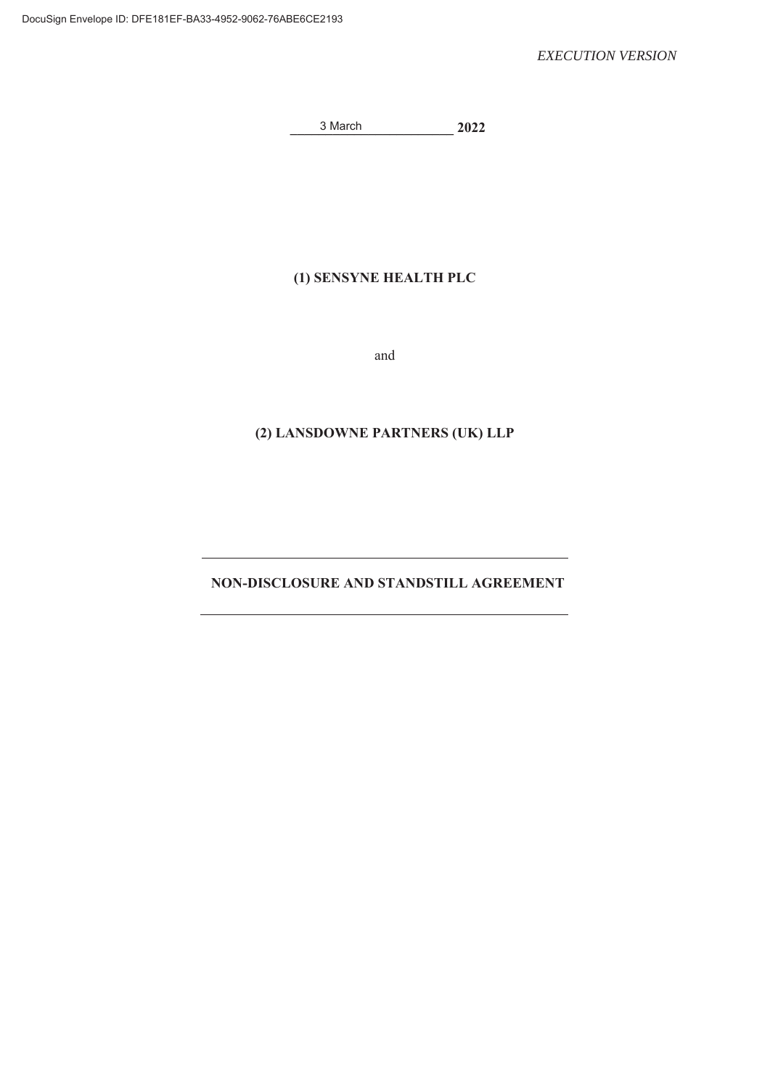**\_\_\_\_\_\_\_\_\_\_\_\_\_\_\_\_\_\_\_\_\_\_\_ 2022**  3 March

## **(1) SENSYNE HEALTH PLC**

and

## **(2) LANSDOWNE PARTNERS (UK) LLP**

## **NON-DISCLOSURE AND STANDSTILL AGREEMENT**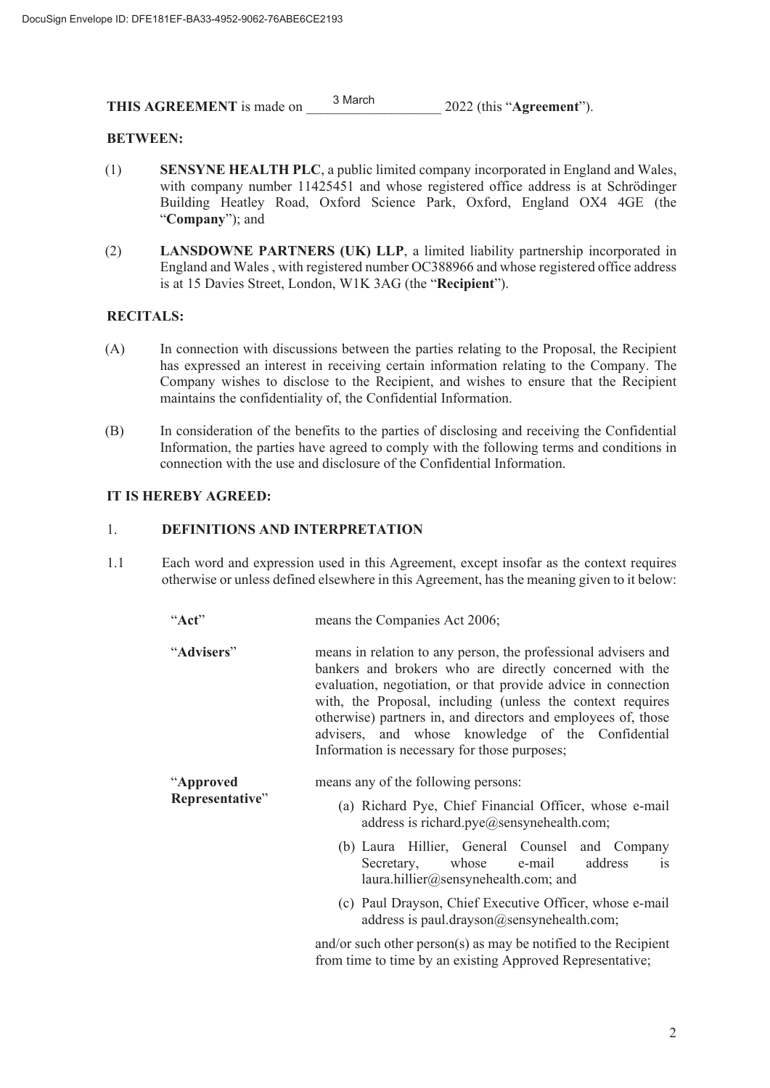**THIS AGREEMENT** is made on <sup>3 March</sup> 2022 (this "Agreement"). 3 March

#### **BETWEEN:**

- (1) **SENSYNE HEALTH PLC**, a public limited company incorporated in England and Wales, with company number 11425451 and whose registered office address is at Schrödinger Building Heatley Road, Oxford Science Park, Oxford, England OX4 4GE (the "**Company**"); and
- (2) **LANSDOWNE PARTNERS (UK) LLP**, a limited liability partnership incorporated in England and Wales, with registered number OC388966 and whose registered office address is at 15 Davies Street, London, W1K 3AG (the "**Recipient**").

#### **RECITALS:**

- (A) In connection with discussions between the parties relating to the Proposal, the Recipient has expressed an interest in receiving certain information relating to the Company. The Company wishes to disclose to the Recipient, and wishes to ensure that the Recipient maintains the confidentiality of, the Confidential Information.
- (B) In consideration of the benefits to the parties of disclosing and receiving the Confidential Information, the parties have agreed to comply with the following terms and conditions in connection with the use and disclosure of the Confidential Information.

#### **IT IS HEREBY AGREED:**

#### 1. **DEFINITIONS AND INTERPRETATION**

1.1 Each word and expression used in this Agreement, except insofar as the context requires otherwise or unless defined elsewhere in this Agreement, has the meaning given to it below:

"**Act**" means the Companies Act 2006;

| AU                           | $\mu$ and $\mu$ companies Act $\mu$ <sub>000</sub> ,                                                                                                                                                                                                                                                                                                                                                                           |
|------------------------------|--------------------------------------------------------------------------------------------------------------------------------------------------------------------------------------------------------------------------------------------------------------------------------------------------------------------------------------------------------------------------------------------------------------------------------|
| "Advisers"                   | means in relation to any person, the professional advisers and<br>bankers and brokers who are directly concerned with the<br>evaluation, negotiation, or that provide advice in connection<br>with, the Proposal, including (unless the context requires<br>otherwise) partners in, and directors and employees of, those<br>advisers, and whose knowledge of the Confidential<br>Information is necessary for those purposes; |
| "Approved<br>Representative" | means any of the following persons:<br>(a) Richard Pye, Chief Financial Officer, whose e-mail<br>address is richard.pye@sensynehealth.com;<br>(b) Laura Hillier, General Counsel and Company<br>address<br>Secretary, whose e-mail<br>$\overline{1}S$<br>laura.hillier@sensynehealth.com; and<br>(c) Paul Drayson, Chief Executive Officer, whose e-mail<br>address is paul.drayson@sensynehealth.com;                         |

and/or such other person(s) as may be notified to the Recipient from time to time by an existing Approved Representative;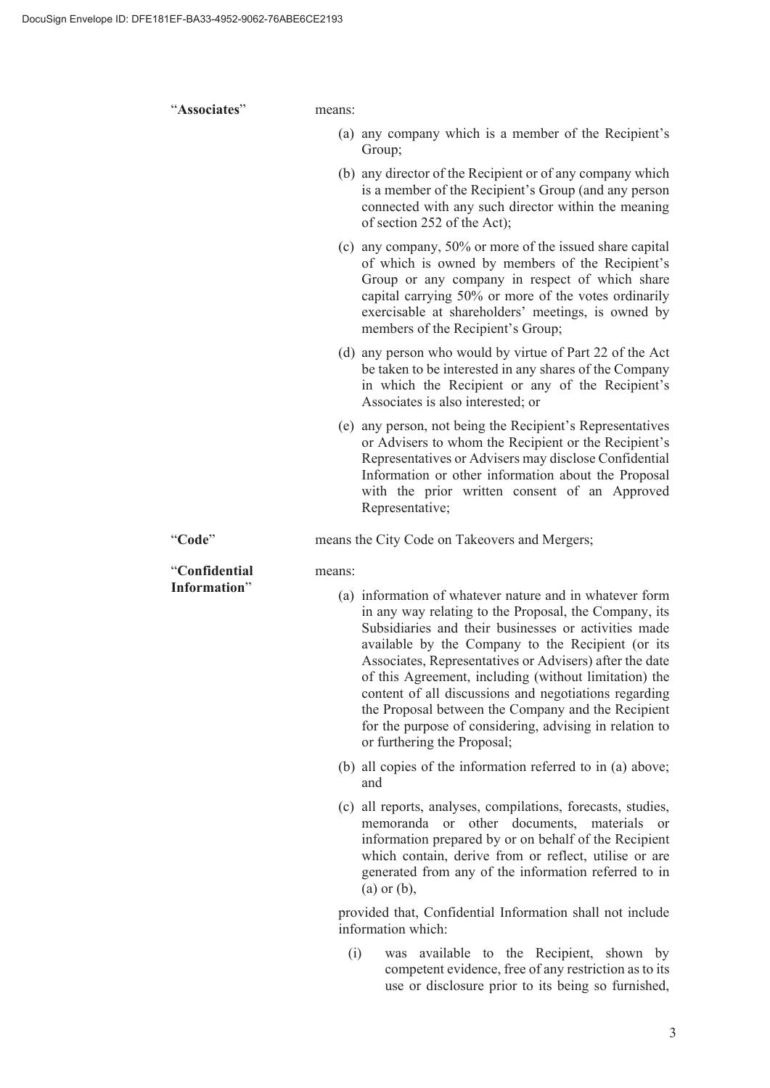"**Associates**" means: (a) any company which is a member of the Recipient's Group; (b) any director of the Recipient or of any company which is a member of the Recipient's Group (and any person connected with any such director within the meaning of section 252 of the Act); (c) any company, 50% or more of the issued share capital of which is owned by members of the Recipient's Group or any company in respect of which share capital carrying 50% or more of the votes ordinarily exercisable at shareholders' meetings, is owned by members of the Recipient's Group; (d) any person who would by virtue of Part 22 of the Act be taken to be interested in any shares of the Company in which the Recipient or any of the Recipient's Associates is also interested; or (e) any person, not being the Recipient's Representatives or Advisers to whom the Recipient or the Recipient's Representatives or Advisers may disclose Confidential Information or other information about the Proposal with the prior written consent of an Approved Representative; "Code" means the City Code on Takeovers and Mergers; "**Confidential Information**" means: (a) information of whatever nature and in whatever form in any way relating to the Proposal, the Company, its Subsidiaries and their businesses or activities made available by the Company to the Recipient (or its Associates, Representatives or Advisers) after the date of this Agreement, including (without limitation) the content of all discussions and negotiations regarding the Proposal between the Company and the Recipient for the purpose of considering, advising in relation to or furthering the Proposal; (b) all copies of the information referred to in (a) above; and (c) all reports, analyses, compilations, forecasts, studies, memoranda or other documents, materials or information prepared by or on behalf of the Recipient which contain, derive from or reflect, utilise or are generated from any of the information referred to in (a) or (b), provided that, Confidential Information shall not include information which: (i) was available to the Recipient, shown by competent evidence, free of any restriction as to its

use or disclosure prior to its being so furnished,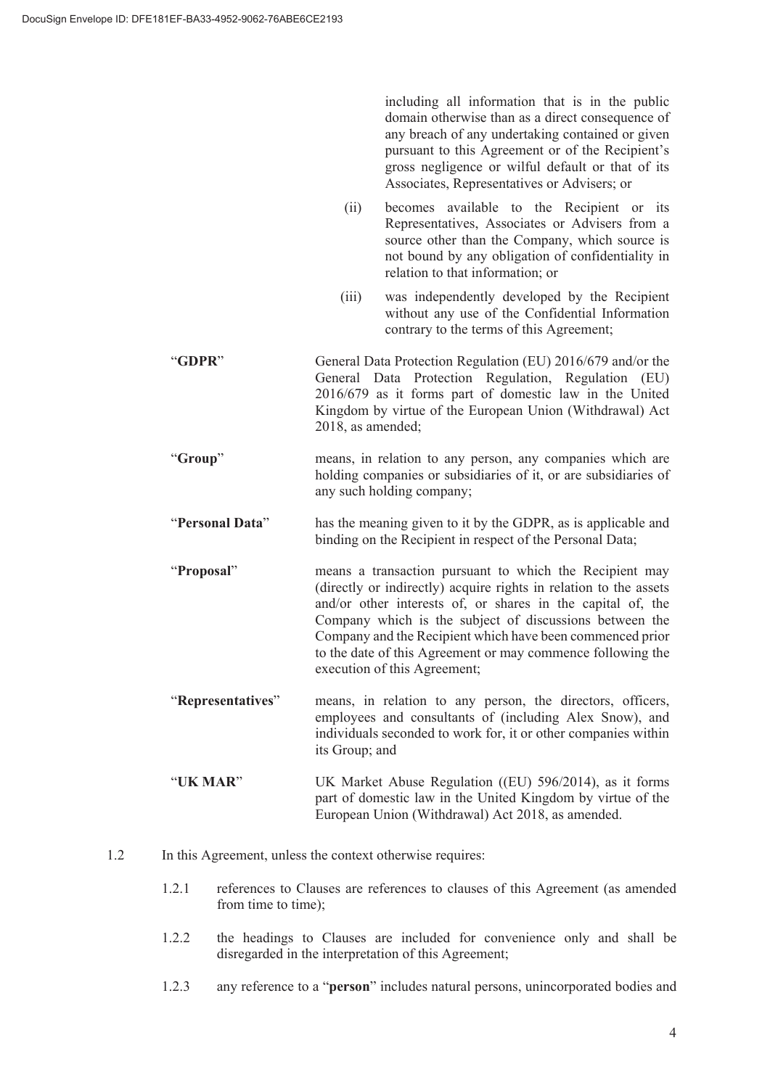including all information that is in the public domain otherwise than as a direct consequence of any breach of any undertaking contained or given pursuant to this Agreement or of the Recipient's gross negligence or wilful default or that of its Associates, Representatives or Advisers; or

- (ii) becomes available to the Recipient or its Representatives, Associates or Advisers from a source other than the Company, which source is not bound by any obligation of confidentiality in relation to that information; or
- (iii) was independently developed by the Recipient without any use of the Confidential Information contrary to the terms of this Agreement;
- "**GDPR**" General Data Protection Regulation (EU) 2016/679 and/or the General Data Protection Regulation, Regulation (EU) 2016/679 as it forms part of domestic law in the United Kingdom by virtue of the European Union (Withdrawal) Act 2018, as amended;
- "**Group**" means, in relation to any person, any companies which are holding companies or subsidiaries of it, or are subsidiaries of any such holding company;
- "**Personal Data**" has the meaning given to it by the GDPR, as is applicable and binding on the Recipient in respect of the Personal Data;
- "**Proposal**" means a transaction pursuant to which the Recipient may (directly or indirectly) acquire rights in relation to the assets and/or other interests of, or shares in the capital of, the Company which is the subject of discussions between the Company and the Recipient which have been commenced prior to the date of this Agreement or may commence following the execution of this Agreement;
- "**Representatives**" means, in relation to any person, the directors, officers, employees and consultants of (including Alex Snow), and individuals seconded to work for, it or other companies within its Group; and
- "**UK MAR**" UK Market Abuse Regulation ((EU) 596/2014), as it forms part of domestic law in the United Kingdom by virtue of the European Union (Withdrawal) Act 2018, as amended.
- 1.2 In this Agreement, unless the context otherwise requires:
	- 1.2.1 references to Clauses are references to clauses of this Agreement (as amended from time to time);
	- 1.2.2 the headings to Clauses are included for convenience only and shall be disregarded in the interpretation of this Agreement;
	- 1.2.3 any reference to a "**person**" includes natural persons, unincorporated bodies and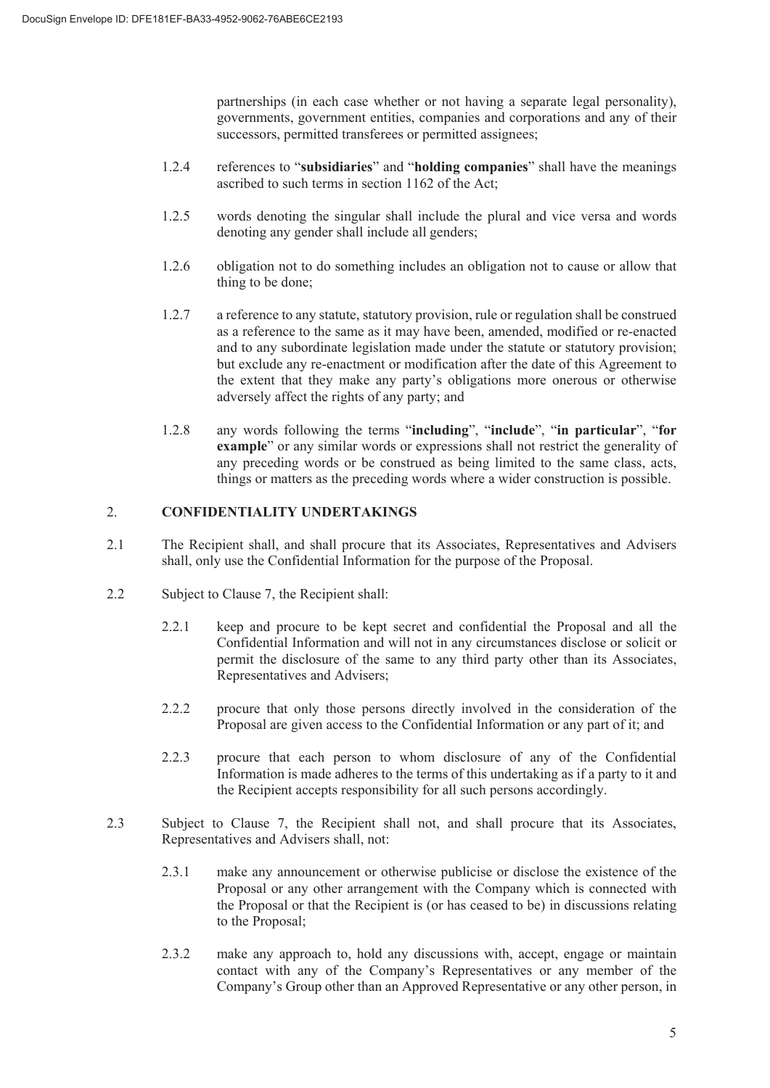partnerships (in each case whether or not having a separate legal personality), governments, government entities, companies and corporations and any of their successors, permitted transferees or permitted assignees;

- 1.2.4 references to "**subsidiaries**" and "**holding companies**" shall have the meanings ascribed to such terms in section 1162 of the Act;
- 1.2.5 words denoting the singular shall include the plural and vice versa and words denoting any gender shall include all genders;
- 1.2.6 obligation not to do something includes an obligation not to cause or allow that thing to be done;
- 1.2.7 a reference to any statute, statutory provision, rule or regulation shall be construed as a reference to the same as it may have been, amended, modified or re-enacted and to any subordinate legislation made under the statute or statutory provision; but exclude any re-enactment or modification after the date of this Agreement to the extent that they make any party's obligations more onerous or otherwise adversely affect the rights of any party; and
- 1.2.8 any words following the terms "**including**", "**include**", "**in particular**", "**for example**" or any similar words or expressions shall not restrict the generality of any preceding words or be construed as being limited to the same class, acts, things or matters as the preceding words where a wider construction is possible.

#### 2. **CONFIDENTIALITY UNDERTAKINGS**

- 2.1 The Recipient shall, and shall procure that its Associates, Representatives and Advisers shall, only use the Confidential Information for the purpose of the Proposal.
- 2.2 Subject to Clause 7, the Recipient shall:
	- 2.2.1 keep and procure to be kept secret and confidential the Proposal and all the Confidential Information and will not in any circumstances disclose or solicit or permit the disclosure of the same to any third party other than its Associates, Representatives and Advisers;
	- 2.2.2 procure that only those persons directly involved in the consideration of the Proposal are given access to the Confidential Information or any part of it; and
	- 2.2.3 procure that each person to whom disclosure of any of the Confidential Information is made adheres to the terms of this undertaking as if a party to it and the Recipient accepts responsibility for all such persons accordingly.
- 2.3 Subject to Clause 7, the Recipient shall not, and shall procure that its Associates, Representatives and Advisers shall, not:
	- 2.3.1 make any announcement or otherwise publicise or disclose the existence of the Proposal or any other arrangement with the Company which is connected with the Proposal or that the Recipient is (or has ceased to be) in discussions relating to the Proposal;
	- 2.3.2 make any approach to, hold any discussions with, accept, engage or maintain contact with any of the Company's Representatives or any member of the Company's Group other than an Approved Representative or any other person, in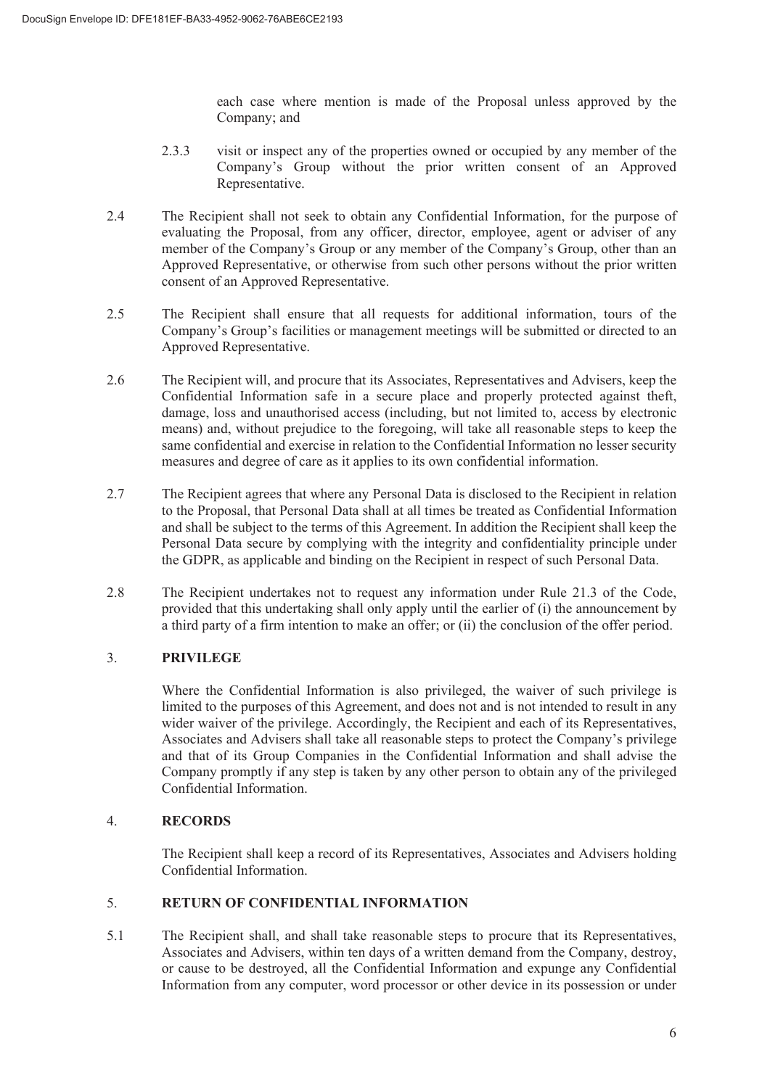each case where mention is made of the Proposal unless approved by the Company; and

- 2.3.3 visit or inspect any of the properties owned or occupied by any member of the Company's Group without the prior written consent of an Approved Representative.
- 2.4 The Recipient shall not seek to obtain any Confidential Information, for the purpose of evaluating the Proposal, from any officer, director, employee, agent or adviser of any member of the Company's Group or any member of the Company's Group, other than an Approved Representative, or otherwise from such other persons without the prior written consent of an Approved Representative.
- 2.5 The Recipient shall ensure that all requests for additional information, tours of the Company's Group's facilities or management meetings will be submitted or directed to an Approved Representative.
- 2.6 The Recipient will, and procure that its Associates, Representatives and Advisers, keep the Confidential Information safe in a secure place and properly protected against theft, damage, loss and unauthorised access (including, but not limited to, access by electronic means) and, without prejudice to the foregoing, will take all reasonable steps to keep the same confidential and exercise in relation to the Confidential Information no lesser security measures and degree of care as it applies to its own confidential information.
- 2.7 The Recipient agrees that where any Personal Data is disclosed to the Recipient in relation to the Proposal, that Personal Data shall at all times be treated as Confidential Information and shall be subject to the terms of this Agreement. In addition the Recipient shall keep the Personal Data secure by complying with the integrity and confidentiality principle under the GDPR, as applicable and binding on the Recipient in respect of such Personal Data.
- 2.8 The Recipient undertakes not to request any information under Rule 21.3 of the Code, provided that this undertaking shall only apply until the earlier of (i) the announcement by a third party of a firm intention to make an offer; or (ii) the conclusion of the offer period.

## 3. **PRIVILEGE**

Where the Confidential Information is also privileged, the waiver of such privilege is limited to the purposes of this Agreement, and does not and is not intended to result in any wider waiver of the privilege. Accordingly, the Recipient and each of its Representatives, Associates and Advisers shall take all reasonable steps to protect the Company's privilege and that of its Group Companies in the Confidential Information and shall advise the Company promptly if any step is taken by any other person to obtain any of the privileged Confidential Information.

## 4. **RECORDS**

The Recipient shall keep a record of its Representatives, Associates and Advisers holding Confidential Information.

## 5. **RETURN OF CONFIDENTIAL INFORMATION**

5.1 The Recipient shall, and shall take reasonable steps to procure that its Representatives, Associates and Advisers, within ten days of a written demand from the Company, destroy, or cause to be destroyed, all the Confidential Information and expunge any Confidential Information from any computer, word processor or other device in its possession or under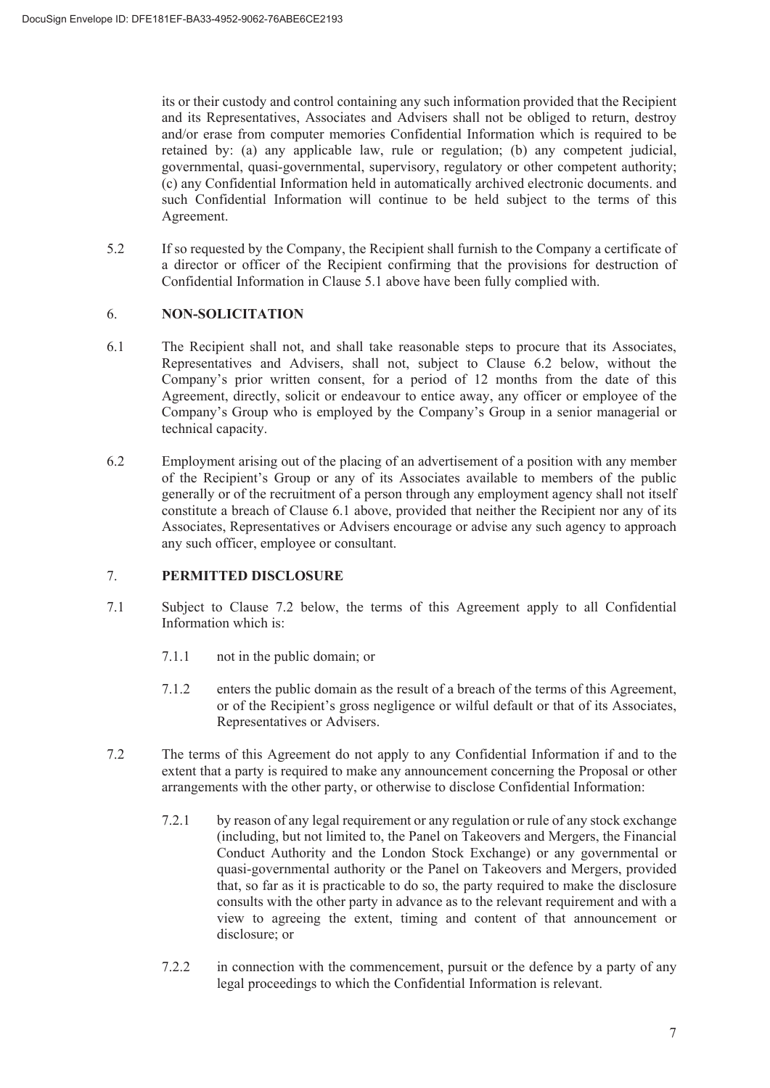its or their custody and control containing any such information provided that the Recipient and its Representatives, Associates and Advisers shall not be obliged to return, destroy and/or erase from computer memories Confidential Information which is required to be retained by: (a) any applicable law, rule or regulation; (b) any competent judicial, governmental, quasi-governmental, supervisory, regulatory or other competent authority; (c) any Confidential Information held in automatically archived electronic documents. and such Confidential Information will continue to be held subject to the terms of this Agreement.

5.2 If so requested by the Company, the Recipient shall furnish to the Company a certificate of a director or officer of the Recipient confirming that the provisions for destruction of Confidential Information in Clause 5.1 above have been fully complied with.

#### 6. **NON-SOLICITATION**

- 6.1 The Recipient shall not, and shall take reasonable steps to procure that its Associates, Representatives and Advisers, shall not, subject to Clause 6.2 below, without the Company's prior written consent, for a period of 12 months from the date of this Agreement, directly, solicit or endeavour to entice away, any officer or employee of the Company's Group who is employed by the Company's Group in a senior managerial or technical capacity.
- 6.2 Employment arising out of the placing of an advertisement of a position with any member of the Recipient's Group or any of its Associates available to members of the public generally or of the recruitment of a person through any employment agency shall not itself constitute a breach of Clause 6.1 above, provided that neither the Recipient nor any of its Associates, Representatives or Advisers encourage or advise any such agency to approach any such officer, employee or consultant.

## 7. **PERMITTED DISCLOSURE**

- 7.1 Subject to Clause 7.2 below, the terms of this Agreement apply to all Confidential Information which is:
	- 7.1.1 not in the public domain; or
	- 7.1.2 enters the public domain as the result of a breach of the terms of this Agreement, or of the Recipient's gross negligence or wilful default or that of its Associates, Representatives or Advisers.
- 7.2 The terms of this Agreement do not apply to any Confidential Information if and to the extent that a party is required to make any announcement concerning the Proposal or other arrangements with the other party, or otherwise to disclose Confidential Information:
	- 7.2.1 by reason of any legal requirement or any regulation or rule of any stock exchange (including, but not limited to, the Panel on Takeovers and Mergers, the Financial Conduct Authority and the London Stock Exchange) or any governmental or quasi-governmental authority or the Panel on Takeovers and Mergers, provided that, so far as it is practicable to do so, the party required to make the disclosure consults with the other party in advance as to the relevant requirement and with a view to agreeing the extent, timing and content of that announcement or disclosure; or
	- 7.2.2 in connection with the commencement, pursuit or the defence by a party of any legal proceedings to which the Confidential Information is relevant.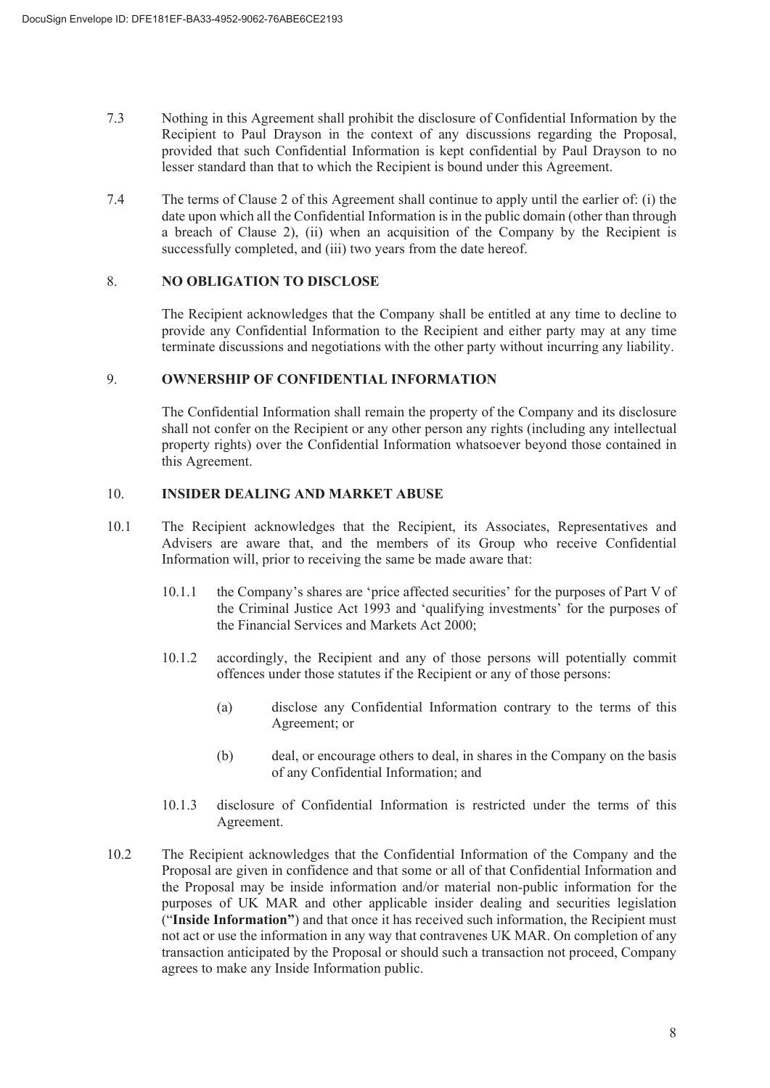- 7.3 Nothing in this Agreement shall prohibit the disclosure of Confidential Information by the Recipient to Paul Drayson in the context of any discussions regarding the Proposal, provided that such Confidential Information is kept confidential by Paul Drayson to no lesser standard than that to which the Recipient is bound under this Agreement.
- 7.4 The terms of Clause 2 of this Agreement shall continue to apply until the earlier of: (i) the date upon which all the Confidential Information is in the public domain (other than through a breach of Clause 2), (ii) when an acquisition of the Company by the Recipient is successfully completed, and (iii) two years from the date hereof.

#### 8. **NO OBLIGATION TO DISCLOSE**

The Recipient acknowledges that the Company shall be entitled at any time to decline to provide any Confidential Information to the Recipient and either party may at any time terminate discussions and negotiations with the other party without incurring any liability.

#### 9. **OWNERSHIP OF CONFIDENTIAL INFORMATION**

The Confidential Information shall remain the property of the Company and its disclosure shall not confer on the Recipient or any other person any rights (including any intellectual property rights) over the Confidential Information whatsoever beyond those contained in this Agreement.

#### 10. **INSIDER DEALING AND MARKET ABUSE**

- 10.1 The Recipient acknowledges that the Recipient, its Associates, Representatives and Advisers are aware that, and the members of its Group who receive Confidential Information will, prior to receiving the same be made aware that:
	- 10.1.1 the Company's shares are 'price affected securities' for the purposes of Part V of the Criminal Justice Act 1993 and 'qualifying investments' for the purposes of the Financial Services and Markets Act 2000;
	- 10.1.2 accordingly, the Recipient and any of those persons will potentially commit offences under those statutes if the Recipient or any of those persons:
		- (a) disclose any Confidential Information contrary to the terms of this Agreement; or
		- (b) deal, or encourage others to deal, in shares in the Company on the basis of any Confidential Information; and
	- 10.1.3 disclosure of Confidential Information is restricted under the terms of this Agreement.
- 10.2 The Recipient acknowledges that the Confidential Information of the Company and the Proposal are given in confidence and that some or all of that Confidential Information and the Proposal may be inside information and/or material non-public information for the purposes of UK MAR and other applicable insider dealing and securities legislation ("**Inside Information"**) and that once it has received such information, the Recipient must not act or use the information in any way that contravenes UK MAR. On completion of any transaction anticipated by the Proposal or should such a transaction not proceed, Company agrees to make any Inside Information public.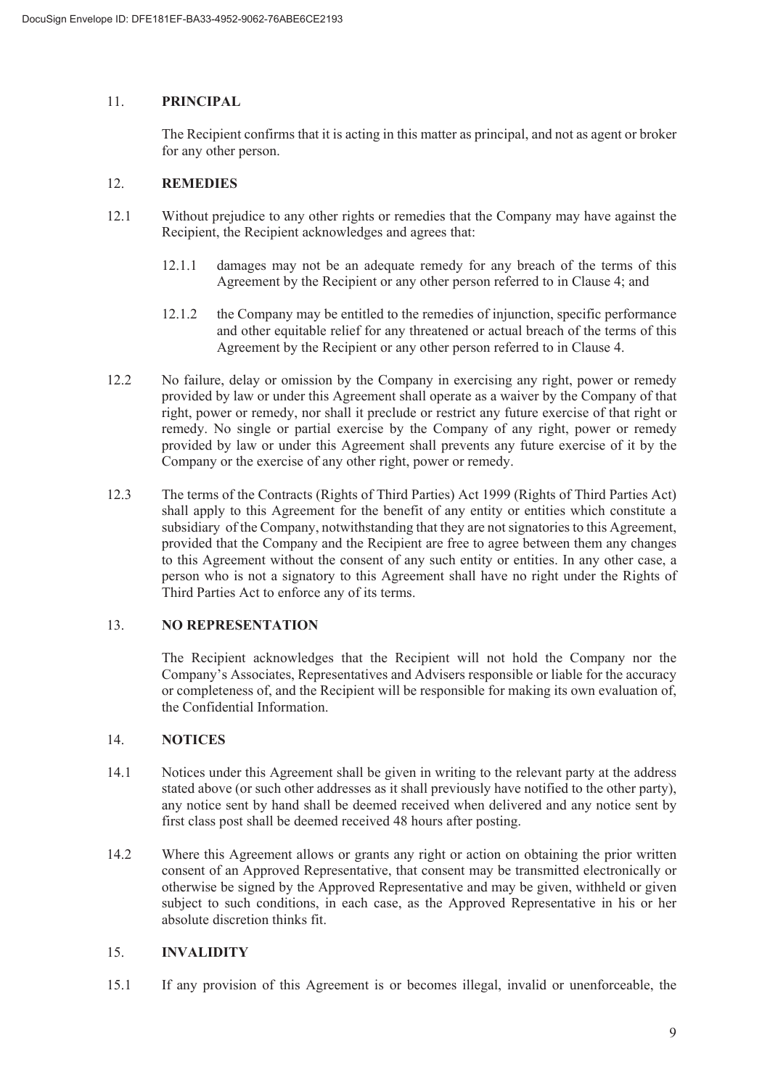#### 11. **PRINCIPAL**

The Recipient confirms that it is acting in this matter as principal, and not as agent or broker for any other person.

#### 12. **REMEDIES**

- 12.1 Without prejudice to any other rights or remedies that the Company may have against the Recipient, the Recipient acknowledges and agrees that:
	- 12.1.1 damages may not be an adequate remedy for any breach of the terms of this Agreement by the Recipient or any other person referred to in Clause 4; and
	- 12.1.2 the Company may be entitled to the remedies of injunction, specific performance and other equitable relief for any threatened or actual breach of the terms of this Agreement by the Recipient or any other person referred to in Clause 4.
- 12.2 No failure, delay or omission by the Company in exercising any right, power or remedy provided by law or under this Agreement shall operate as a waiver by the Company of that right, power or remedy, nor shall it preclude or restrict any future exercise of that right or remedy. No single or partial exercise by the Company of any right, power or remedy provided by law or under this Agreement shall prevents any future exercise of it by the Company or the exercise of any other right, power or remedy.
- 12.3 The terms of the Contracts (Rights of Third Parties) Act 1999 (Rights of Third Parties Act) shall apply to this Agreement for the benefit of any entity or entities which constitute a subsidiary of the Company, notwithstanding that they are not signatories to this Agreement, provided that the Company and the Recipient are free to agree between them any changes to this Agreement without the consent of any such entity or entities. In any other case, a person who is not a signatory to this Agreement shall have no right under the Rights of Third Parties Act to enforce any of its terms.

## 13. **NO REPRESENTATION**

The Recipient acknowledges that the Recipient will not hold the Company nor the Company's Associates, Representatives and Advisers responsible or liable for the accuracy or completeness of, and the Recipient will be responsible for making its own evaluation of, the Confidential Information.

#### 14. **NOTICES**

- 14.1 Notices under this Agreement shall be given in writing to the relevant party at the address stated above (or such other addresses as it shall previously have notified to the other party), any notice sent by hand shall be deemed received when delivered and any notice sent by first class post shall be deemed received 48 hours after posting.
- 14.2 Where this Agreement allows or grants any right or action on obtaining the prior written consent of an Approved Representative, that consent may be transmitted electronically or otherwise be signed by the Approved Representative and may be given, withheld or given subject to such conditions, in each case, as the Approved Representative in his or her absolute discretion thinks fit.

## 15. **INVALIDITY**

15.1 If any provision of this Agreement is or becomes illegal, invalid or unenforceable, the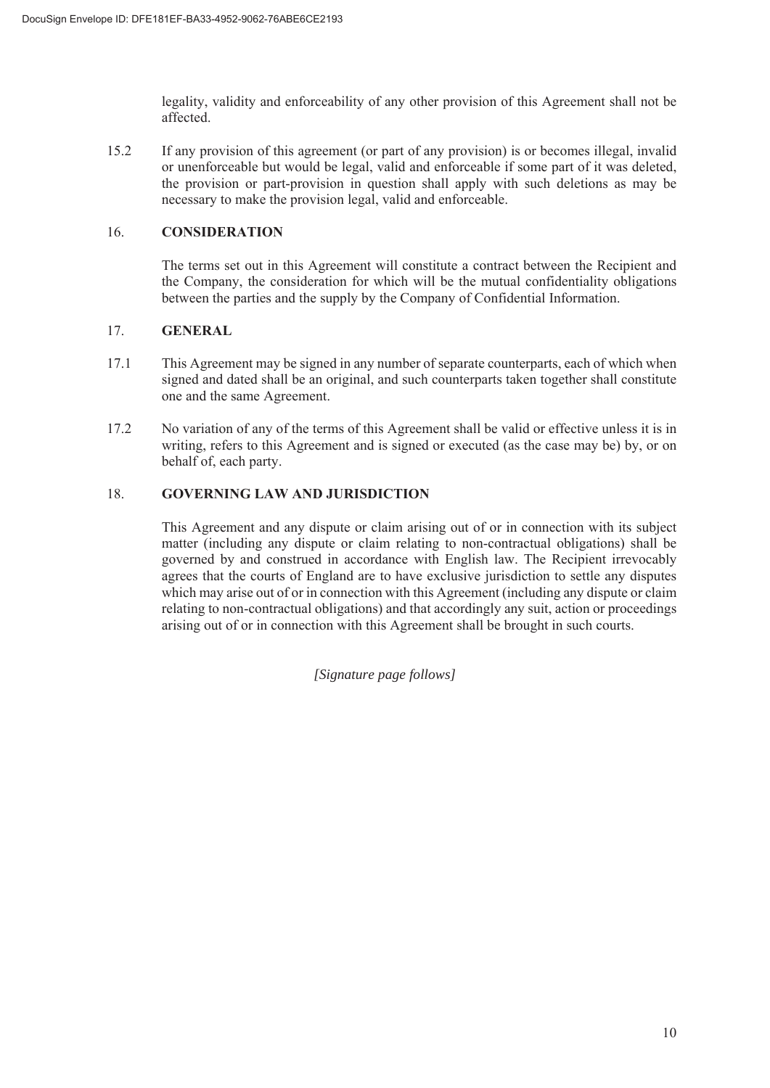legality, validity and enforceability of any other provision of this Agreement shall not be affected.

15.2 If any provision of this agreement (or part of any provision) is or becomes illegal, invalid or unenforceable but would be legal, valid and enforceable if some part of it was deleted, the provision or part-provision in question shall apply with such deletions as may be necessary to make the provision legal, valid and enforceable.

#### 16. **CONSIDERATION**

The terms set out in this Agreement will constitute a contract between the Recipient and the Company, the consideration for which will be the mutual confidentiality obligations between the parties and the supply by the Company of Confidential Information.

#### 17. **GENERAL**

- 17.1 This Agreement may be signed in any number of separate counterparts, each of which when signed and dated shall be an original, and such counterparts taken together shall constitute one and the same Agreement.
- 17.2 No variation of any of the terms of this Agreement shall be valid or effective unless it is in writing, refers to this Agreement and is signed or executed (as the case may be) by, or on behalf of, each party.

#### 18. **GOVERNING LAW AND JURISDICTION**

This Agreement and any dispute or claim arising out of or in connection with its subject matter (including any dispute or claim relating to non-contractual obligations) shall be governed by and construed in accordance with English law. The Recipient irrevocably agrees that the courts of England are to have exclusive jurisdiction to settle any disputes which may arise out of or in connection with this Agreement (including any dispute or claim relating to non-contractual obligations) and that accordingly any suit, action or proceedings arising out of or in connection with this Agreement shall be brought in such courts.

*[Signature page follows]*